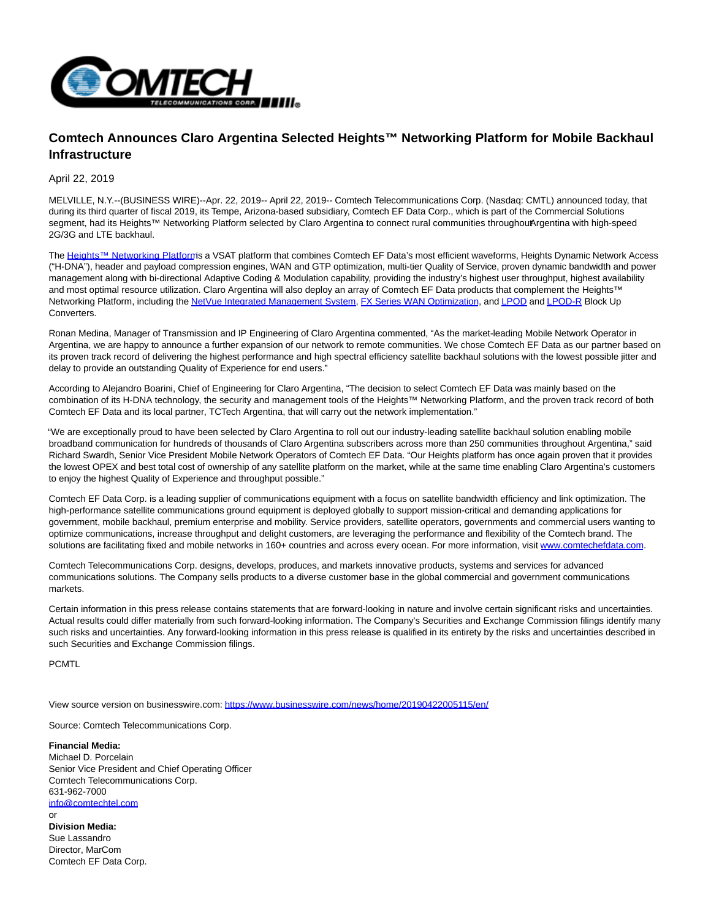

## **Comtech Announces Claro Argentina Selected Heights™ Networking Platform for Mobile Backhaul Infrastructure**

April 22, 2019

MELVILLE, N.Y.--(BUSINESS WIRE)--Apr. 22, 2019-- April 22, 2019-- Comtech Telecommunications Corp. (Nasdaq: CMTL) announced today, that during its third quarter of fiscal 2019, its Tempe, Arizona-based subsidiary, Comtech EF Data Corp., which is part of the Commercial Solutions segment, had its Heights™ Networking Platform selected by Claro Argentina to connect rural communities throughout Argentina with high-speed 2G/3G and LTE backhaul.

The [Heights™ Networking Platform i](https://cts.businesswire.com/ct/CT?id=smartlink&url=https%3A%2F%2Fwww.comtechefdata.com%2Fproducts%2Fheights-networking-platform&esheet=51972222&newsitemid=20190422005115&lan=en-US&anchor=Heights%E2%84%A2+Networking+Platform&index=1&md5=23ef14d9aea04d9e0d3c43c5c3edc5b6)s a VSAT platform that combines Comtech EF Data's most efficient waveforms, Heights Dynamic Network Access ("H-DNA"), header and payload compression engines, WAN and GTP optimization, multi-tier Quality of Service, proven dynamic bandwidth and power management along with bi-directional Adaptive Coding & Modulation capability, providing the industry's highest user throughput, highest availability and most optimal resource utilization. Claro Argentina will also deploy an array of Comtech EF Data products that complement the Heights™ Networking Platform, including the [NetVue Integrated Management System,](https://cts.businesswire.com/ct/CT?id=smartlink&url=https%3A%2F%2Fwww.comtechefdata.com%2Ffiles%2Fdatasheets%2Fds-NetVue.pdf&esheet=51972222&newsitemid=20190422005115&lan=en-US&anchor=NetVue+Integrated+Management+System&index=2&md5=e18c6925e1c24d0babceeff3f25d154e) [FX Series WAN Optimization,](https://cts.businesswire.com/ct/CT?id=smartlink&url=https%3A%2F%2Fwww.comtechefdata.com%2Ffiles%2Fds-fx_series_7.x.pdf&esheet=51972222&newsitemid=20190422005115&lan=en-US&anchor=FX+Series+WAN+Optimization&index=3&md5=8be4ca8f9f61e2d01ba315e5d09b13be) an[d LPOD a](https://cts.businesswire.com/ct/CT?id=smartlink&url=https%3A%2F%2Fwww.comtechefdata.com%2Ffiles%2Fdatasheets%2Fds-lpod.pdf&esheet=51972222&newsitemid=20190422005115&lan=en-US&anchor=LPOD&index=4&md5=b5409921e50a57252ac46f4dc40b15f1)n[d LPOD-R B](https://cts.businesswire.com/ct/CT?id=smartlink&url=https%3A%2F%2Fwww.comtechefdata.com%2Ffiles%2Fdatasheets%2Fds-lpod-R.pdf&esheet=51972222&newsitemid=20190422005115&lan=en-US&anchor=LPOD-R&index=5&md5=9468f7e2afd5cdce9b84765217fe61dd)lock Up Converters.

Ronan Medina, Manager of Transmission and IP Engineering of Claro Argentina commented, "As the market-leading Mobile Network Operator in Argentina, we are happy to announce a further expansion of our network to remote communities. We chose Comtech EF Data as our partner based on its proven track record of delivering the highest performance and high spectral efficiency satellite backhaul solutions with the lowest possible jitter and delay to provide an outstanding Quality of Experience for end users."

According to Alejandro Boarini, Chief of Engineering for Claro Argentina, "The decision to select Comtech EF Data was mainly based on the combination of its H-DNA technology, the security and management tools of the Heights™ Networking Platform, and the proven track record of both Comtech EF Data and its local partner, TCTech Argentina, that will carry out the network implementation."

"We are exceptionally proud to have been selected by Claro Argentina to roll out our industry-leading satellite backhaul solution enabling mobile broadband communication for hundreds of thousands of Claro Argentina subscribers across more than 250 communities throughout Argentina," said Richard Swardh, Senior Vice President Mobile Network Operators of Comtech EF Data. "Our Heights platform has once again proven that it provides the lowest OPEX and best total cost of ownership of any satellite platform on the market, while at the same time enabling Claro Argentina's customers to enjoy the highest Quality of Experience and throughput possible."

Comtech EF Data Corp. is a leading supplier of communications equipment with a focus on satellite bandwidth efficiency and link optimization. The high-performance satellite communications ground equipment is deployed globally to support mission-critical and demanding applications for government, mobile backhaul, premium enterprise and mobility. Service providers, satellite operators, governments and commercial users wanting to optimize communications, increase throughput and delight customers, are leveraging the performance and flexibility of the Comtech brand. The solutions are facilitating fixed and mobile networks in 160+ countries and across every ocean. For more information, visit [www.comtechefdata.com.](https://cts.businesswire.com/ct/CT?id=smartlink&url=http%3A%2F%2Fwww.comtechefdata.com&esheet=51972222&newsitemid=20190422005115&lan=en-US&anchor=www.comtechefdata.com&index=6&md5=ab505ffc6dcda87d3afba419136165df)

Comtech Telecommunications Corp. designs, develops, produces, and markets innovative products, systems and services for advanced communications solutions. The Company sells products to a diverse customer base in the global commercial and government communications markets.

Certain information in this press release contains statements that are forward-looking in nature and involve certain significant risks and uncertainties. Actual results could differ materially from such forward-looking information. The Company's Securities and Exchange Commission filings identify many such risks and uncertainties. Any forward-looking information in this press release is qualified in its entirety by the risks and uncertainties described in such Securities and Exchange Commission filings.

PCMTL

View source version on businesswire.com:<https://www.businesswire.com/news/home/20190422005115/en/>

Source: Comtech Telecommunications Corp.

**Financial Media:** Michael D. Porcelain Senior Vice President and Chief Operating Officer Comtech Telecommunications Corp. 631-962-7000 [info@comtechtel.com](mailto:info@comtechtel.com) or **Division Media:**

Sue Lassandro Director, MarCom Comtech EF Data Corp.